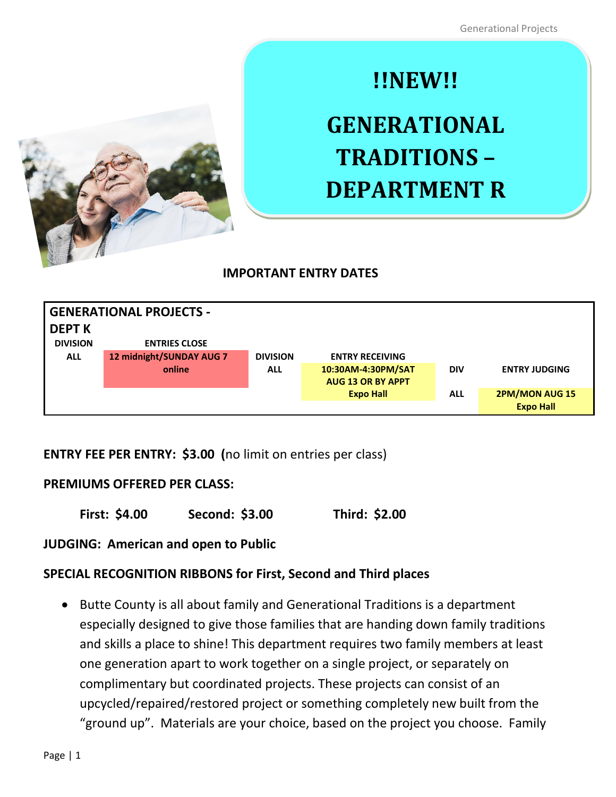

# **!!NEW!!**

# **GENERATIONAL TRADITIONS – DEPARTMENT R**

# **IMPORTANT ENTRY DATES**

| <b>GENERATIONAL PROJECTS -</b> |                          |                 |                          |            |                       |
|--------------------------------|--------------------------|-----------------|--------------------------|------------|-----------------------|
| <b>DEPT K</b>                  |                          |                 |                          |            |                       |
| <b>DIVISION</b>                | <b>ENTRIES CLOSE</b>     |                 |                          |            |                       |
| <b>ALL</b>                     | 12 midnight/SUNDAY AUG 7 | <b>DIVISION</b> | <b>ENTRY RECEIVING</b>   |            |                       |
|                                | online                   | <b>ALL</b>      | 10:30AM-4:30PM/SAT       | <b>DIV</b> | <b>ENTRY JUDGING</b>  |
|                                |                          |                 | <b>AUG 13 OR BY APPT</b> |            |                       |
|                                |                          |                 | <b>Expo Hall</b>         | <b>ALL</b> | <b>2PM/MON AUG 15</b> |
|                                |                          |                 |                          |            | <b>Expo Hall</b>      |

# **ENTRY FEE PER ENTRY: \$3.00 (**no limit on entries per class)

#### **PREMIUMS OFFERED PER CLASS:**

**First: \$4.00 Second: \$3.00 Third: \$2.00**

**JUDGING: American and open to Public**

# **SPECIAL RECOGNITION RIBBONS for First, Second and Third places**

• Butte County is all about family and Generational Traditions is a department especially designed to give those families that are handing down family traditions and skills a place to shine! This department requires two family members at least one generation apart to work together on a single project, or separately on complimentary but coordinated projects. These projects can consist of an upcycled/repaired/restored project or something completely new built from the "ground up". Materials are your choice, based on the project you choose. Family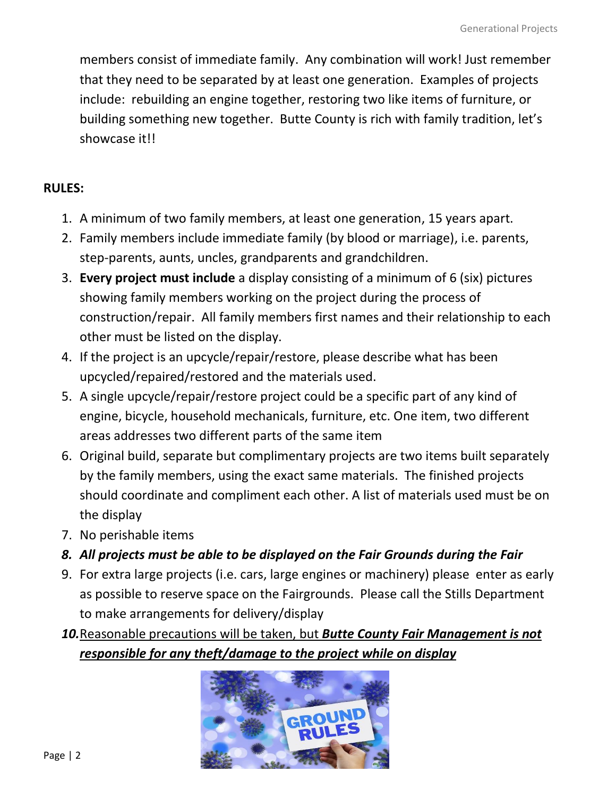members consist of immediate family. Any combination will work! Just remember that they need to be separated by at least one generation. Examples of projects include: rebuilding an engine together, restoring two like items of furniture, or building something new together. Butte County is rich with family tradition, let's showcase it!!

### **RULES:**

- 1. A minimum of two family members, at least one generation, 15 years apart.
- 2. Family members include immediate family (by blood or marriage), i.e. parents, step-parents, aunts, uncles, grandparents and grandchildren.
- 3. **Every project must include** a display consisting of a minimum of 6 (six) pictures showing family members working on the project during the process of construction/repair. All family members first names and their relationship to each other must be listed on the display.
- 4. If the project is an upcycle/repair/restore, please describe what has been upcycled/repaired/restored and the materials used.
- 5. A single upcycle/repair/restore project could be a specific part of any kind of engine, bicycle, household mechanicals, furniture, etc. One item, two different areas addresses two different parts of the same item
- 6. Original build, separate but complimentary projects are two items built separately by the family members, using the exact same materials. The finished projects should coordinate and compliment each other. A list of materials used must be on the display
- 7. No perishable items
- *8. All projects must be able to be displayed on the Fair Grounds during the Fair*
- 9. For extra large projects (i.e. cars, large engines or machinery) please enter as early as possible to reserve space on the Fairgrounds. Please call the Stills Department to make arrangements for delivery/display
- *10.*Reasonable precautions will be taken, but *Butte County Fair Management is not responsible for any theft/damage to the project while on display*